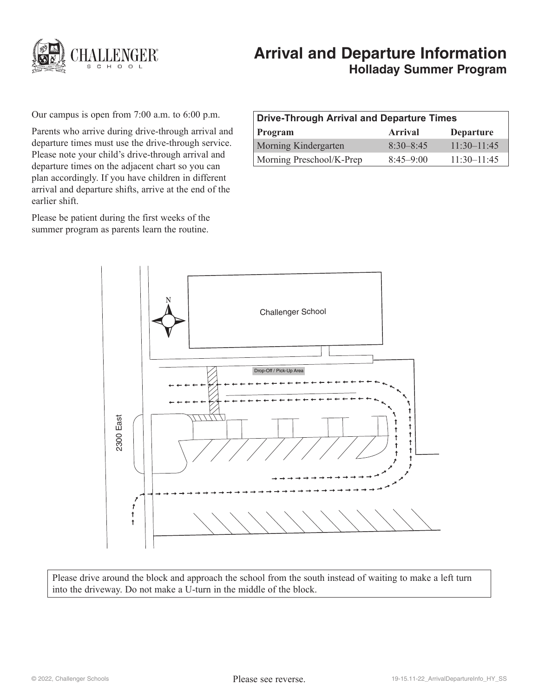

# **Arrival and Departure Information Holladay Summer Program**

Our campus is open from 7:00 a.m. to 6:00 p.m.

Parents who arrive during drive-through arrival and departure times must use the drive-through service. Please note your child's drive-through arrival and departure times on the adjacent chart so you can plan accordingly. If you have children in different arrival and departure shifts, arrive at the end of the earlier shift.

Please be patient during the first weeks of the summer program as parents learn the routine.

| Drive-Through Arrival and Departure Times |                |                             |
|-------------------------------------------|----------------|-----------------------------|
| <b>Program</b>                            | <b>Arrival</b> | <b>Departure</b>            |
| <b>Morning Kindergarten</b>               | $8.30 - 8.45$  | $11 \cdot 30 - 11 \cdot 45$ |
| Morning Preschool/K-Prep                  | $8.45 - 9.00$  | $11 \cdot 30 - 11 \cdot 45$ |



Please drive around the block and approach the school from the south instead of waiting to make a left turn into the driveway. Do not make a U-turn in the middle of the block.